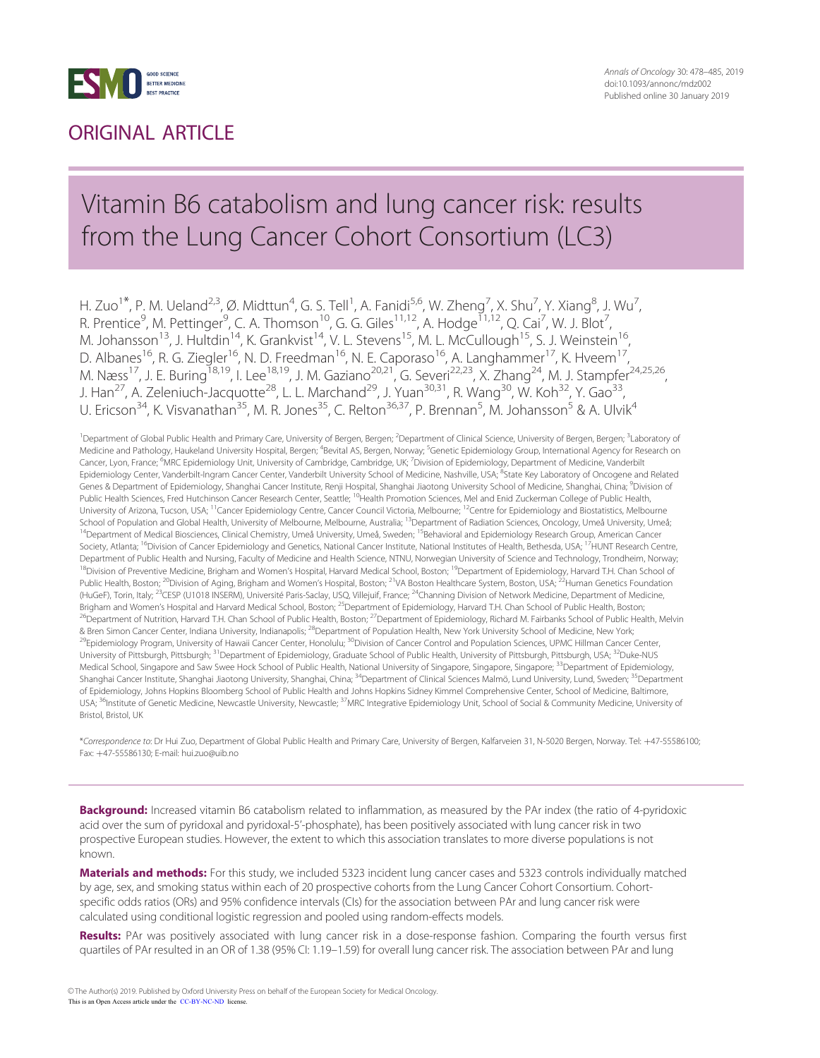

# ORIGINAL ARTICLE

# Vitamin B6 catabolism and lung cancer risk: results from the Lung Cancer Cohort Consortium (LC3)

H. Zuo<sup>1\*</sup>, P. M. Ueland<sup>2,3</sup>, Ø. Midttun<sup>4</sup>, G. S. Tell<sup>1</sup>, A. Fanidi<sup>5,6</sup>, W. Zheng<sup>7</sup>, X. Shu<sup>7</sup>, Y. Xiang<sup>8</sup>, J. Wu<sup>7</sup> , R. Prentice<sup>9</sup>, M. Pettinger<sup>9</sup>, C. A. Thomson<sup>10</sup>, G. G. Giles<sup>11,12</sup>, A. Hodge<sup>11,12</sup>, Q. Cai<sup>7</sup>, W. J. Blot<sup>7</sup> , M. Johansson<sup>13</sup>, J. Hultdin<sup>14</sup>, K. Grankvist<sup>14</sup>, V. L. Stevens<sup>15</sup>, M. L. McCullough<sup>15</sup>, S. J. Weinstein<sup>16</sup>, D. Albanes<sup>16</sup>, R. G. Ziegler<sup>16</sup>, N. D. Freedman<sup>16</sup>, N. E. Caporaso<sup>16</sup>, A. Langhammer<sup>17</sup>, K. Hveem<sup>17</sup>, M. Næss<sup>17</sup>, J. E. Buring<sup>18,19</sup>, I. Lee<sup>18,19</sup>, J. M. Gaziano<sup>20,21</sup>, G. Severi<sup>22,23</sup>, X. Zhang<sup>24</sup>, M. J. Stampfer<sup>24,25,26</sup>, J. Han<sup>27</sup>, A. Zeleniuch-Jacquotte<sup>28</sup>, L. L. Marchand<sup>29</sup>, J. Yuan<sup>30,31</sup>, R. Wang<sup>30</sup>, W. Koh<sup>32</sup>, Y. Gao<sup>33</sup>, U. Ericson<sup>34</sup>, K. Visvanathan<sup>35</sup>, M. R. Jones<sup>35</sup>, C. Relton<sup>36,37</sup>, P. Brennan<sup>5</sup>, M. Johansson<sup>5</sup> & A. Ulvik<sup>4</sup>

<sup>1</sup> Department of Global Public Health and Primary Care, University of Bergen, Bergen; <sup>2</sup>Department of Clinical Science, University of Bergen, Bergen; <sup>3</sup>Laboratory of Medicine and Pathology, Haukeland University Hospital, Bergen; <sup>4</sup>Bevital AS, Bergen, Norway; <sup>5</sup>Genetic Epidemiology Group, International Agency for Research on Cancer, Lyon, France; <sup>6</sup>MRC Epidemiology Unit, University of Cambridge, Cambridge, UK; <sup>7</sup>Division of Epidemiology, Department of Medicine, Vanderbilt Epidemiology Center, Vanderbilt-Ingram Cancer Center, Vanderbilt University School of Medicine, Nashville, USA; <sup>8</sup>State Key Laboratory of Oncogene and Related Genes & Department of Epidemiology, Shanghai Cancer Institute, Renji Hospital, Shanghai Jiaotong University School of Medicine, Shanghai, China; <sup>9</sup>Division of Public Health Sciences, Fred Hutchinson Cancer Research Center, Seattle; <sup>10</sup>Health Promotion Sciences, Mel and Enid Zuckerman College of Public Health, University of Arizona, Tucson, USA; <sup>11</sup>Cancer Epidemiology Centre, Cancer Council Victoria, Melbourne; <sup>12</sup>Centre for Epidemiology and Biostatistics, Melbourne School of Population and Global Health, University of Melbourne, Melbourne, Australia; <sup>13</sup>Department of Radiation Sciences, Oncology, Umeå University, Umeå; 14Department of Medical Biosciences, Clinical Chemistry, Umea University, Umeå, Sweden; <sup>15</sup>Behavioral and Epidemiology Research Group, American Cancer Society, Atlanta; <sup>16</sup>Division of Cancer Epidemiology and Genetics, National Cancer Institute, National Institutes of Health, Bethesda, USA; <sup>17</sup>HUNT Research Centre, Department of Public Health and Nursing, Faculty of Medicine and Health Science, NTNU, Norwegian University of Science and Technology, Trondheim, Norway; <sup>18</sup>Division of Preventive Medicine, Brigham and Women's Hospital, Harvard Medical School, Boston; <sup>19</sup>Department of Epidemiology, Harvard T.H. Chan School of Public Health, Boston; <sup>20</sup>Division of Aging, Brigham and Women's Hospital, Boston; <sup>21</sup>VA Boston Healthcare System, Boston, USA; <sup>22</sup>Human Genetics Foundation (HuGeF), Torin, Italy; <sup>23</sup>CESP (U1018 INSERM), Université Paris-Saclay, USQ, Villejuif, France; <sup>24</sup>Channing Division of Network Medicine, Department of Medicine, Brigham and Women's Hospital and Harvard Medical School, Boston; <sup>25</sup>Department of Epidemiology, Harvard T.H. Chan School of Public Health, Boston; <sup>26</sup>Department of Nutrition, Harvard T.H. Chan School of Public Health, Boston; <sup>27</sup>Department of Epidemiology, Richard M. Fairbanks School of Public Health, Melvin & Bren Simon Cancer Center, Indiana University, Indianapolis; <sup>28</sup>Department of Population Health, New York University School of Medicine, New York; <sup>9</sup>Epidemiology Program, University of Hawaii Cancer Center, Honolulu; <sup>30</sup>Division of Cancer Control and Population Sciences, UPMC Hillman Cancer Center, University of Pittsburgh, Pittsburgh; <sup>31</sup>Department of Epidemiology, Graduate School of Public Health, University of Pittsburgh, Pittsburgh, USA; <sup>32</sup>Duke-NUS Medical School, Singapore and Saw Swee Hock School of Public Health, National University of Singapore, Singapore, Singapore; <sup>33</sup>Department of Epidemiology, Shanghai Cancer Institute, Shanghai Jiaotong University, Shanghai, China; <sup>34</sup>Department of Clinical Sciences Malmö, Lund University, Lund, Sweden; <sup>35</sup>Department of Epidemiology, Johns Hopkins Bloomberg School of Public Health and Johns Hopkins Sidney Kimmel Comprehensive Center, School of Medicine, Baltimore, USA; <sup>36</sup>Institute of Genetic Medicine, Newcastle University, Newcastle; <sup>37</sup>MRC Integrative Epidemiology Unit, School of Social & Community Medicine, University of Bristol, Bristol, UK

\*Correspondence to: Dr Hui Zuo, Department of Global Public Health and Primary Care, University of Bergen, Kalfarveien 31, N-5020 Bergen, Norway. Tel: þ47-55586100; Fax: þ47-55586130; E-mail: hui.zuo@uib.no

Background: Increased vitamin B6 catabolism related to inflammation, as measured by the PAr index (the ratio of 4-pyridoxic acid over the sum of pyridoxal and pyridoxal-5'-phosphate), has been positively associated with lung cancer risk in two prospective European studies. However, the extent to which this association translates to more diverse populations is not known.

Materials and methods: For this study, we included 5323 incident lung cancer cases and 5323 controls individually matched by age, sex, and smoking status within each of 20 prospective cohorts from the Lung Cancer Cohort Consortium. Cohortspecific odds ratios (ORs) and 95% confidence intervals (CIs) for the association between PAr and lung cancer risk were calculated using conditional logistic regression and pooled using random-effects models.

Results: PAr was positively associated with lung cancer risk in a dose-response fashion. Comparing the fourth versus first quartiles of PAr resulted in an OR of 1.38 (95% CI: 1.19–1.59) for overall lung cancer risk. The association between PAr and lung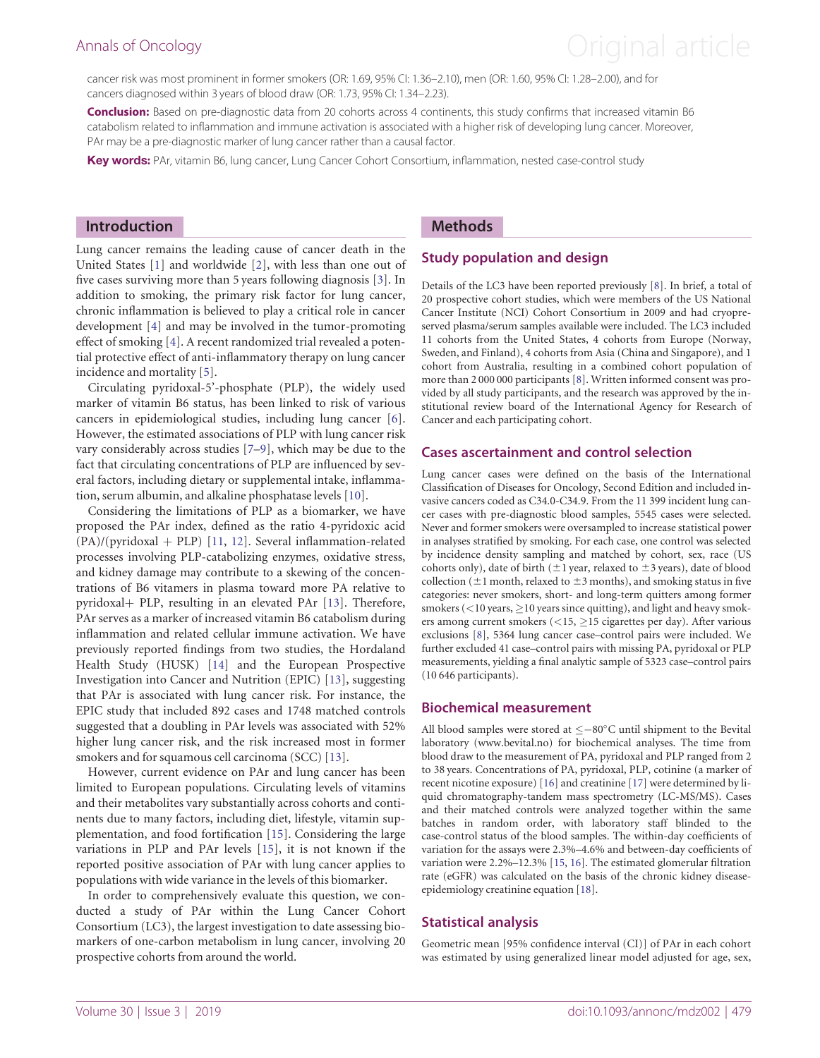# <span id="page-1-0"></span>Annals of Oncology **Annals of Oncology Annal article**

cancer risk was most prominent in former smokers (OR: 1.69, 95% CI: 1.36–2.10), men (OR: 1.60, 95% CI: 1.28–2.00), and for cancers diagnosed within 3 years of blood draw (OR: 1.73, 95% CI: 1.34–2.23).

Conclusion: Based on pre-diagnostic data from 20 cohorts across 4 continents, this study confirms that increased vitamin B6 catabolism related to inflammation and immune activation is associated with a higher risk of developing lung cancer. Moreover, PAr may be a pre-diagnostic marker of lung cancer rather than a causal factor.

Key words: PAr, vitamin B6, lung cancer, Lung Cancer Cohort Consortium, inflammation, nested case-control study

## Introduction

Lung cancer remains the leading cause of cancer death in the United States [\[1\]](#page-7-0) and worldwide [\[2\]](#page-7-0), with less than one out of five cases surviving more than 5 years following diagnosis [[3](#page-7-0)]. In addition to smoking, the primary risk factor for lung cancer, chronic inflammation is believed to play a critical role in cancer development [[4](#page-7-0)] and may be involved in the tumor-promoting effect of smoking [[4\]](#page-7-0). A recent randomized trial revealed a potential protective effect of anti-inflammatory therapy on lung cancer incidence and mortality [[5\]](#page-7-0).

Circulating pyridoxal-5'-phosphate (PLP), the widely used marker of vitamin B6 status, has been linked to risk of various cancers in epidemiological studies, including lung cancer [[6](#page-7-0)]. However, the estimated associations of PLP with lung cancer risk vary considerably across studies [\[7–9\]](#page-7-0), which may be due to the fact that circulating concentrations of PLP are influenced by several factors, including dietary or supplemental intake, inflammation, serum albumin, and alkaline phosphatase levels [\[10\]](#page-7-0).

Considering the limitations of PLP as a biomarker, we have proposed the PAr index, defined as the ratio 4-pyridoxic acid  $(PA)/(pyridoxal + PLP)$  [\[11](#page-7-0), [12\]](#page-7-0). Several inflammation-related processes involving PLP-catabolizing enzymes, oxidative stress, and kidney damage may contribute to a skewing of the concentrations of B6 vitamers in plasma toward more PA relative to pyridoxal+ PLP, resulting in an elevated PAr [[13\]](#page-7-0). Therefore, PAr serves as a marker of increased vitamin B6 catabolism during inflammation and related cellular immune activation. We have previously reported findings from two studies, the Hordaland Health Study (HUSK) [[14\]](#page-7-0) and the European Prospective Investigation into Cancer and Nutrition (EPIC) [[13](#page-7-0)], suggesting that PAr is associated with lung cancer risk. For instance, the EPIC study that included 892 cases and 1748 matched controls suggested that a doubling in PAr levels was associated with 52% higher lung cancer risk, and the risk increased most in former smokers and for squamous cell carcinoma (SCC) [\[13](#page-7-0)].

However, current evidence on PAr and lung cancer has been limited to European populations. Circulating levels of vitamins and their metabolites vary substantially across cohorts and continents due to many factors, including diet, lifestyle, vitamin supplementation, and food fortification [[15\]](#page-7-0). Considering the large variations in PLP and PAr levels [\[15\]](#page-7-0), it is not known if the reported positive association of PAr with lung cancer applies to populations with wide variance in the levels of this biomarker.

In order to comprehensively evaluate this question, we conducted a study of PAr within the Lung Cancer Cohort Consortium (LC3), the largest investigation to date assessing biomarkers of one-carbon metabolism in lung cancer, involving 20 prospective cohorts from around the world.

## Methods

## Study population and design

Details of the LC3 have been reported previously [[8\]](#page-7-0). In brief, a total of 20 prospective cohort studies, which were members of the US National Cancer Institute (NCI) Cohort Consortium in 2009 and had cryopreserved plasma/serum samples available were included. The LC3 included 11 cohorts from the United States, 4 cohorts from Europe (Norway, Sweden, and Finland), 4 cohorts from Asia (China and Singapore), and 1 cohort from Australia, resulting in a combined cohort population of more than 2 000 000 participants [[8\]](#page-7-0). Written informed consent was provided by all study participants, and the research was approved by the institutional review board of the International Agency for Research of Cancer and each participating cohort.

### Cases ascertainment and control selection

Lung cancer cases were defined on the basis of the International Classification of Diseases for Oncology, Second Edition and included invasive cancers coded as C34.0-C34.9. From the 11 399 incident lung cancer cases with pre-diagnostic blood samples, 5545 cases were selected. Never and former smokers were oversampled to increase statistical power in analyses stratified by smoking. For each case, one control was selected by incidence density sampling and matched by cohort, sex, race (US cohorts only), date of birth ( $\pm 1$  year, relaxed to  $\pm 3$  years), date of blood collection ( $\pm$ 1 month, relaxed to  $\pm$ 3 months), and smoking status in five categories: never smokers, short- and long-term quitters among former smokers  $(<$  10 years,  $\ge$  10 years since quitting), and light and heavy smokers among current smokers  $(<15, \geq 15$  cigarettes per day). After various exclusions [\[8](#page-7-0)], 5364 lung cancer case–control pairs were included. We further excluded 41 case–control pairs with missing PA, pyridoxal or PLP measurements, yielding a final analytic sample of 5323 case–control pairs (10 646 participants).

#### Biochemical measurement

All blood samples were stored at  $\leq -80^{\circ}$ C until shipment to the Bevital laboratory [\(www.bevital.no](http://www.bevital.no)) for biochemical analyses. The time from blood draw to the measurement of PA, pyridoxal and PLP ranged from 2 to 38 years. Concentrations of PA, pyridoxal, PLP, cotinine (a marker of recent nicotine exposure) [\[16](#page-7-0)] and creatinine [\[17](#page-7-0)] were determined by liquid chromatography-tandem mass spectrometry (LC-MS/MS). Cases and their matched controls were analyzed together within the same batches in random order, with laboratory staff blinded to the case-control status of the blood samples. The within-day coefficients of variation for the assays were 2.3%–4.6% and between-day coefficients of variation were 2.2%–12.3% [[15,](#page-7-0) [16](#page-7-0)]. The estimated glomerular filtration rate (eGFR) was calculated on the basis of the chronic kidney diseaseepidemiology creatinine equation [\[18\]](#page-7-0).

#### Statistical analysis

Geometric mean [95% confidence interval (CI)] of PAr in each cohort was estimated by using generalized linear model adjusted for age, sex,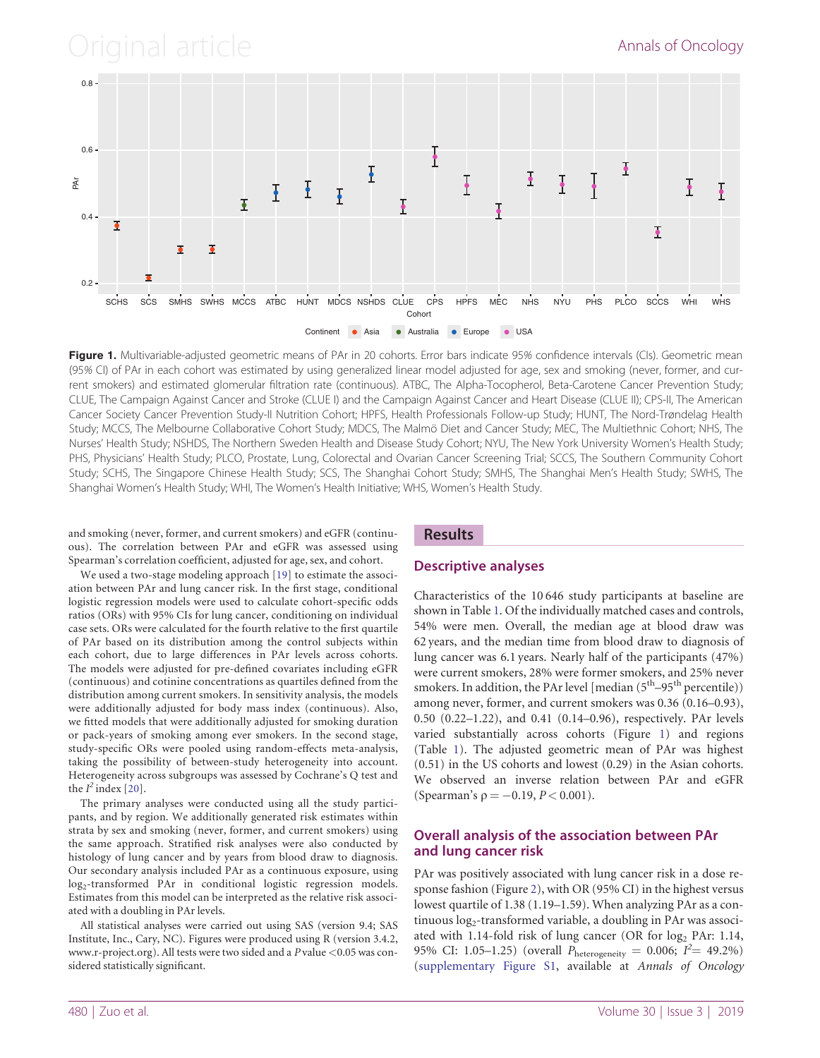<span id="page-2-0"></span>Original article **Annals of Oncology** 



Figure 1. Multivariable-adjusted geometric means of PAr in 20 cohorts. Error bars indicate 95% confidence intervals (CIs). Geometric mean (95% CI) of PAr in each cohort was estimated by using generalized linear model adjusted for age, sex and smoking (never, former, and current smokers) and estimated glomerular filtration rate (continuous). ATBC, The Alpha-Tocopherol, Beta-Carotene Cancer Prevention Study; CLUE, The Campaign Against Cancer and Stroke (CLUE I) and the Campaign Against Cancer and Heart Disease (CLUE II); CPS-II, The American Cancer Society Cancer Prevention Study-II Nutrition Cohort; HPFS, Health Professionals Follow-up Study; HUNT, The Nord-Trøndelag Health Study; MCCS, The Melbourne Collaborative Cohort Study; MDCS, The Malmö Diet and Cancer Study; MEC, The Multiethnic Cohort; NHS, The Nurses' Health Study; NSHDS, The Northern Sweden Health and Disease Study Cohort; NYU, The New York University Women's Health Study; PHS, Physicians' Health Study; PLCO, Prostate, Lung, Colorectal and Ovarian Cancer Screening Trial; SCCS, The Southern Community Cohort Study; SCHS, The Singapore Chinese Health Study; SCS, The Shanghai Cohort Study; SMHS, The Shanghai Men's Health Study; SWHS, The Shanghai Women's Health Study; WHI, The Women's Health Initiative; WHS, Women's Health Study.

and smoking (never, former, and current smokers) and eGFR (continuous). The correlation between PAr and eGFR was assessed using Spearman's correlation coefficient, adjusted for age, sex, and cohort.

## **Results**

## Descriptive analyses

We used a two-stage modeling approach [[19\]](#page-7-0) to estimate the association between PAr and lung cancer risk. In the first stage, conditional logistic regression models were used to calculate cohort-specific odds ratios (ORs) with 95% CIs for lung cancer, conditioning on individual case sets. ORs were calculated for the fourth relative to the first quartile of PAr based on its distribution among the control subjects within each cohort, due to large differences in PAr levels across cohorts. The models were adjusted for pre-defined covariates including eGFR (continuous) and cotinine concentrations as quartiles defined from the distribution among current smokers. In sensitivity analysis, the models were additionally adjusted for body mass index (continuous). Also, we fitted models that were additionally adjusted for smoking duration or pack-years of smoking among ever smokers. In the second stage, study-specific ORs were pooled using random-effects meta-analysis, taking the possibility of between-study heterogeneity into account. Heterogeneity across subgroups was assessed by Cochrane's Q test and the  $I^2$  index [[20\]](#page-7-0).

The primary analyses were conducted using all the study participants, and by region. We additionally generated risk estimates within strata by sex and smoking (never, former, and current smokers) using the same approach. Stratified risk analyses were also conducted by histology of lung cancer and by years from blood draw to diagnosis. Our secondary analysis included PAr as a continuous exposure, using log<sub>2</sub>-transformed PAr in conditional logistic regression models. Estimates from this model can be interpreted as the relative risk associated with a doubling in PAr levels.

All statistical analyses were carried out using SAS (version 9.4; SAS Institute, Inc., Cary, NC). Figures were produced using R (version 3.4.2, [www.r-project.org\)](http://www.r-project.org). All tests were two sided and a P value <0.05 was considered statistically significant.

Characteristics of the 10 646 study participants at baseline are shown in Table [1](#page-3-0). Of the individually matched cases and controls, 54% were men. Overall, the median age at blood draw was 62 years, and the median time from blood draw to diagnosis of lung cancer was 6.1 years. Nearly half of the participants (47%) were current smokers, 28% were former smokers, and 25% never smokers. In addition, the PAr level  $[median (5<sup>th</sup>-95<sup>th</sup> percentile)]$ among never, former, and current smokers was 0.36 (0.16–0.93), 0.50 (0.22–1.22), and 0.41 (0.14–0.96), respectively. PAr levels varied substantially across cohorts (Figure 1) and regions (Table [1](#page-3-0)). The adjusted geometric mean of PAr was highest (0.51) in the US cohorts and lowest (0.29) in the Asian cohorts. We observed an inverse relation between PAr and eGFR (Spearman's  $p = -0.19, P < 0.001$ ).

## Overall analysis of the association between PAr and lung cancer risk

PAr was positively associated with lung cancer risk in a dose response fashion (Figure [2](#page-4-0)), with OR (95% CI) in the highest versus lowest quartile of 1.38 (1.19–1.59). When analyzing PAr as a continuous log<sub>2</sub>-transformed variable, a doubling in PAr was associated with 1.14-fold risk of lung cancer (OR for log<sub>2</sub> PAr: 1.14, 95% CI: 1.05–1.25) (overall  $P_{\text{heterogeneity}} = 0.006; I^2 = 49.2\%$ ) ([supplementary Figure S1](https://academic.oup.com/annonc/article-lookup/doi/10.1093/annonc/mdz002#supplementary-data), available at Annals of Oncology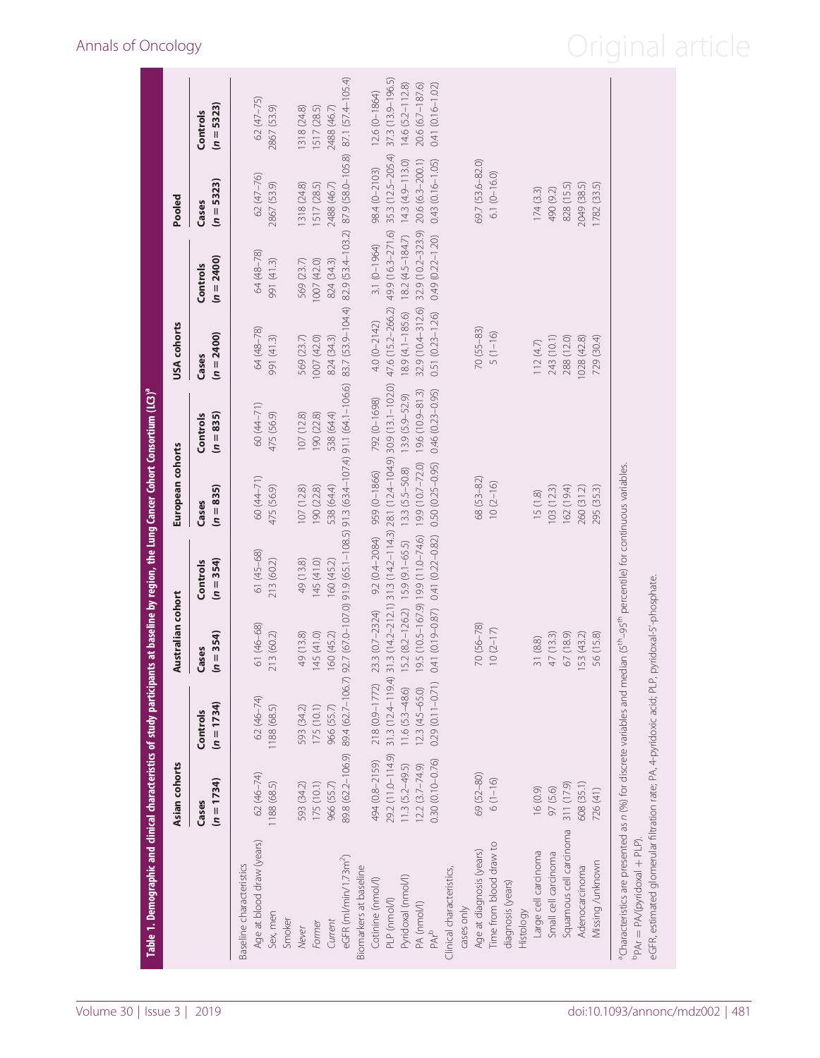<span id="page-3-0"></span>

| 83.7 (53.9-104.4)<br>32.9 (10.4-312.6)<br>47.6 (15.2-266.2)<br>8.9 (4.1-185.6)<br>$0.51(0.23 - 1.26)$<br>4.0 (0-2142)<br>64 (48-78)<br>$70(55 - 83)$<br>$5(1 - 16)$<br>$(n = 2400)$<br>991 (41.3)<br>569 (23.7)<br>1007(420)<br>824 (34.3)<br>112(4.7)<br>Cases<br>91.1 (64.1-106.6)<br>30.9 (13.1-102.0)<br>19.6 (10.9-81.3)<br>$0.46(0.23 - 0.95)$<br>13.9 (5.9-52.9)<br>792 (0-1698)<br>60 (44-71)<br>475 (56.9)<br>107(12.8)<br>190 (22.8)<br>538 (64.4)<br>$(n = 835)$<br>Controls<br>91.3 (63.4-107.4)<br>31.3 (14.2-212.1) 31.3 (14.2-114.3) 28.1 (12.4-104.9)<br>$0.50(0.25 - 0.95)$<br>19.9 (10.7-72.0)<br>13.3 (5.5-50.8)<br>959 (0-1866)<br>60 (44-71)<br>68 (53-82)<br>$10(2-16)$<br>475 (56.9)<br>107(12.8)<br>190 (22.8)<br>538 (64.4)<br>$(n = 835)$<br>15(1.8)<br>Cases<br>91.9 (65.1-108.5)<br>9.2 (0.4-2084)<br>19.5 (10.5-167.9) 19.9 (11.0-74.6)<br>$0.41(0.19 - 0.87)$ 0.41 $(0.22 - 0.82)$<br>$15.9(9.1-65.5)$<br>61 (45-68)<br>213 (60.2)<br>$(n = 354)$<br>49 (13.8)<br>145 (41.0)<br>160 (45.2)<br>Controls<br>92.7 (67.0-107.0)<br>15.2 (8.2-126.2)<br>23.3 (0.7-2324)<br>$70(56 - 78)$<br>61 (46-68)<br>$10(2-17)$<br>$(n = 354)$<br>49 (13.8)<br>145 (41.0)<br>213 (60.2)<br>160 (45.2)<br>31 (8.8)<br>Cases<br>89.4 (62.7-106.7)<br>31.3 (12.4-119.4)<br>$0.29(0.11 - 0.71)$<br>218 (0.9-1772)<br>$11.6(5.3-48.6)$<br>$12.3(4.5-65.0)$<br>62 (46-74)<br>$(n = 1734)$<br>1188 (68.5)<br>593 (34.2)<br>175 (10.1)<br>966 (55.7)<br>Controls<br>89.8 (62.2-106.9)<br>29.2 (11.0-114.9)<br>494 (0.8-2159)<br>$0.30(0.10 - 0.76)$<br>$12.2 (3.7 - 74.9)$<br>$11.3$ $(5.2 - 49.5)$<br>62 (46-74)<br>69 (52-80)<br>$6(1 - 16)$<br>$(n = 1734)$<br>1188 (68.5)<br>175 (10.1)<br>593 (34.2)<br>966 (55.7)<br>16 (0.9)<br>Cases<br>Age at blood draw (years)<br>Time from blood draw to<br>Age at diagnosis (years)<br>Large cell carcinoma<br>eGFR (ml/min/1.73m <sup>2</sup> )<br>Baseline characteristics<br>Biomarkers at baseline<br>Clinical characteristics,<br>Pyridoxal (nmol/l)<br>Cotinine (nmol/l)<br>diagnosis (years)<br>PLP (nmol/l)<br>PA (nmol/l)<br>cases only<br>Histology<br>Sex, men<br>Smoker<br>Current<br>Former<br>Never<br>$PAP^b$ |                      |          |           | Australian cohort |            | European cohorts |            |                          |                       |                          |
|---------------------------------------------------------------------------------------------------------------------------------------------------------------------------------------------------------------------------------------------------------------------------------------------------------------------------------------------------------------------------------------------------------------------------------------------------------------------------------------------------------------------------------------------------------------------------------------------------------------------------------------------------------------------------------------------------------------------------------------------------------------------------------------------------------------------------------------------------------------------------------------------------------------------------------------------------------------------------------------------------------------------------------------------------------------------------------------------------------------------------------------------------------------------------------------------------------------------------------------------------------------------------------------------------------------------------------------------------------------------------------------------------------------------------------------------------------------------------------------------------------------------------------------------------------------------------------------------------------------------------------------------------------------------------------------------------------------------------------------------------------------------------------------------------------------------------------------------------------------------------------------------------------------------------------------------------------------------------------------------------------------------------------------------------------------------------------------------------------------------------------------------------------------------------------|----------------------|----------|-----------|-------------------|------------|------------------|------------|--------------------------|-----------------------|--------------------------|
|                                                                                                                                                                                                                                                                                                                                                                                                                                                                                                                                                                                                                                                                                                                                                                                                                                                                                                                                                                                                                                                                                                                                                                                                                                                                                                                                                                                                                                                                                                                                                                                                                                                                                                                                                                                                                                                                                                                                                                                                                                                                                                                                                                                 |                      |          |           |                   |            |                  |            | $(n = 2400)$<br>Controls | $(n = 5323)$<br>Cases | $(n = 5323)$<br>Controls |
|                                                                                                                                                                                                                                                                                                                                                                                                                                                                                                                                                                                                                                                                                                                                                                                                                                                                                                                                                                                                                                                                                                                                                                                                                                                                                                                                                                                                                                                                                                                                                                                                                                                                                                                                                                                                                                                                                                                                                                                                                                                                                                                                                                                 |                      |          |           |                   |            |                  |            |                          |                       |                          |
|                                                                                                                                                                                                                                                                                                                                                                                                                                                                                                                                                                                                                                                                                                                                                                                                                                                                                                                                                                                                                                                                                                                                                                                                                                                                                                                                                                                                                                                                                                                                                                                                                                                                                                                                                                                                                                                                                                                                                                                                                                                                                                                                                                                 |                      |          |           |                   |            |                  |            | 64 (48-78)               | 62 (47-76)            | 62 (47-75)               |
|                                                                                                                                                                                                                                                                                                                                                                                                                                                                                                                                                                                                                                                                                                                                                                                                                                                                                                                                                                                                                                                                                                                                                                                                                                                                                                                                                                                                                                                                                                                                                                                                                                                                                                                                                                                                                                                                                                                                                                                                                                                                                                                                                                                 |                      |          |           |                   |            |                  |            | 991 (41.3)               | 2867 (53.9)           | 2867 (53.9)              |
|                                                                                                                                                                                                                                                                                                                                                                                                                                                                                                                                                                                                                                                                                                                                                                                                                                                                                                                                                                                                                                                                                                                                                                                                                                                                                                                                                                                                                                                                                                                                                                                                                                                                                                                                                                                                                                                                                                                                                                                                                                                                                                                                                                                 |                      |          |           |                   |            |                  |            |                          |                       |                          |
|                                                                                                                                                                                                                                                                                                                                                                                                                                                                                                                                                                                                                                                                                                                                                                                                                                                                                                                                                                                                                                                                                                                                                                                                                                                                                                                                                                                                                                                                                                                                                                                                                                                                                                                                                                                                                                                                                                                                                                                                                                                                                                                                                                                 |                      |          |           |                   |            |                  |            | 569 (23.7)               | 318 (24.8)            | 1318 (24.8)              |
|                                                                                                                                                                                                                                                                                                                                                                                                                                                                                                                                                                                                                                                                                                                                                                                                                                                                                                                                                                                                                                                                                                                                                                                                                                                                                                                                                                                                                                                                                                                                                                                                                                                                                                                                                                                                                                                                                                                                                                                                                                                                                                                                                                                 |                      |          |           |                   |            |                  |            | 1007(42.0)               | [517 (28.5)           | (517 (28.5)              |
|                                                                                                                                                                                                                                                                                                                                                                                                                                                                                                                                                                                                                                                                                                                                                                                                                                                                                                                                                                                                                                                                                                                                                                                                                                                                                                                                                                                                                                                                                                                                                                                                                                                                                                                                                                                                                                                                                                                                                                                                                                                                                                                                                                                 |                      |          |           |                   |            |                  |            | 824 (34.3)               | 2488 (46.7)           | 2488 (46.7)              |
|                                                                                                                                                                                                                                                                                                                                                                                                                                                                                                                                                                                                                                                                                                                                                                                                                                                                                                                                                                                                                                                                                                                                                                                                                                                                                                                                                                                                                                                                                                                                                                                                                                                                                                                                                                                                                                                                                                                                                                                                                                                                                                                                                                                 |                      |          |           |                   |            |                  |            | 82.9 (53.4-103.2)        | 87.9 (58.0-105.8)     | 87.1 (57.4-105.4)        |
|                                                                                                                                                                                                                                                                                                                                                                                                                                                                                                                                                                                                                                                                                                                                                                                                                                                                                                                                                                                                                                                                                                                                                                                                                                                                                                                                                                                                                                                                                                                                                                                                                                                                                                                                                                                                                                                                                                                                                                                                                                                                                                                                                                                 |                      |          |           |                   |            |                  |            |                          |                       |                          |
|                                                                                                                                                                                                                                                                                                                                                                                                                                                                                                                                                                                                                                                                                                                                                                                                                                                                                                                                                                                                                                                                                                                                                                                                                                                                                                                                                                                                                                                                                                                                                                                                                                                                                                                                                                                                                                                                                                                                                                                                                                                                                                                                                                                 |                      |          |           |                   |            |                  |            | $3.1 (0 - 1964)$         | 98.4 (0-2103)         | $12.6 (0 - 1864)$        |
|                                                                                                                                                                                                                                                                                                                                                                                                                                                                                                                                                                                                                                                                                                                                                                                                                                                                                                                                                                                                                                                                                                                                                                                                                                                                                                                                                                                                                                                                                                                                                                                                                                                                                                                                                                                                                                                                                                                                                                                                                                                                                                                                                                                 |                      |          |           |                   |            |                  |            | 49.9 (16.3-271.6)        | 35.3 (12.5-205.4)     | 37.3 (13.9-196.5)        |
|                                                                                                                                                                                                                                                                                                                                                                                                                                                                                                                                                                                                                                                                                                                                                                                                                                                                                                                                                                                                                                                                                                                                                                                                                                                                                                                                                                                                                                                                                                                                                                                                                                                                                                                                                                                                                                                                                                                                                                                                                                                                                                                                                                                 |                      |          |           |                   |            |                  |            | 18.2 (4.5-184.7)         | $14.3(4.9 - 113.0)$   | 14.6 (5.2-112.8)         |
|                                                                                                                                                                                                                                                                                                                                                                                                                                                                                                                                                                                                                                                                                                                                                                                                                                                                                                                                                                                                                                                                                                                                                                                                                                                                                                                                                                                                                                                                                                                                                                                                                                                                                                                                                                                                                                                                                                                                                                                                                                                                                                                                                                                 |                      |          |           |                   |            |                  |            | 32.9 (10.2-323.9)        | 20.6 (6.3-200.1)      | 20.6 (6.7-187.6)         |
|                                                                                                                                                                                                                                                                                                                                                                                                                                                                                                                                                                                                                                                                                                                                                                                                                                                                                                                                                                                                                                                                                                                                                                                                                                                                                                                                                                                                                                                                                                                                                                                                                                                                                                                                                                                                                                                                                                                                                                                                                                                                                                                                                                                 |                      |          |           |                   |            |                  |            | $0.49(0.22 - 1.20)$      | $0.43(0.16 - 1.05)$   | $0.41(0.16 - 1.02)$      |
|                                                                                                                                                                                                                                                                                                                                                                                                                                                                                                                                                                                                                                                                                                                                                                                                                                                                                                                                                                                                                                                                                                                                                                                                                                                                                                                                                                                                                                                                                                                                                                                                                                                                                                                                                                                                                                                                                                                                                                                                                                                                                                                                                                                 |                      |          |           |                   |            |                  |            |                          |                       |                          |
|                                                                                                                                                                                                                                                                                                                                                                                                                                                                                                                                                                                                                                                                                                                                                                                                                                                                                                                                                                                                                                                                                                                                                                                                                                                                                                                                                                                                                                                                                                                                                                                                                                                                                                                                                                                                                                                                                                                                                                                                                                                                                                                                                                                 |                      |          |           |                   |            |                  |            |                          |                       |                          |
|                                                                                                                                                                                                                                                                                                                                                                                                                                                                                                                                                                                                                                                                                                                                                                                                                                                                                                                                                                                                                                                                                                                                                                                                                                                                                                                                                                                                                                                                                                                                                                                                                                                                                                                                                                                                                                                                                                                                                                                                                                                                                                                                                                                 |                      |          |           |                   |            |                  |            |                          | 69.7 (53.6-82.0)      |                          |
|                                                                                                                                                                                                                                                                                                                                                                                                                                                                                                                                                                                                                                                                                                                                                                                                                                                                                                                                                                                                                                                                                                                                                                                                                                                                                                                                                                                                                                                                                                                                                                                                                                                                                                                                                                                                                                                                                                                                                                                                                                                                                                                                                                                 |                      |          |           |                   |            |                  |            |                          | $6.1(0-16.0)$         |                          |
|                                                                                                                                                                                                                                                                                                                                                                                                                                                                                                                                                                                                                                                                                                                                                                                                                                                                                                                                                                                                                                                                                                                                                                                                                                                                                                                                                                                                                                                                                                                                                                                                                                                                                                                                                                                                                                                                                                                                                                                                                                                                                                                                                                                 |                      |          |           |                   |            |                  |            |                          |                       |                          |
|                                                                                                                                                                                                                                                                                                                                                                                                                                                                                                                                                                                                                                                                                                                                                                                                                                                                                                                                                                                                                                                                                                                                                                                                                                                                                                                                                                                                                                                                                                                                                                                                                                                                                                                                                                                                                                                                                                                                                                                                                                                                                                                                                                                 |                      |          |           |                   |            |                  |            |                          |                       |                          |
|                                                                                                                                                                                                                                                                                                                                                                                                                                                                                                                                                                                                                                                                                                                                                                                                                                                                                                                                                                                                                                                                                                                                                                                                                                                                                                                                                                                                                                                                                                                                                                                                                                                                                                                                                                                                                                                                                                                                                                                                                                                                                                                                                                                 |                      |          |           |                   |            |                  |            |                          | 174(3.3)              |                          |
|                                                                                                                                                                                                                                                                                                                                                                                                                                                                                                                                                                                                                                                                                                                                                                                                                                                                                                                                                                                                                                                                                                                                                                                                                                                                                                                                                                                                                                                                                                                                                                                                                                                                                                                                                                                                                                                                                                                                                                                                                                                                                                                                                                                 | Small cell carcinoma | 97 (5.6) | 47 (13.3) |                   | 103 (12.3) |                  | 243 (10.1) |                          | 490 (9.2)             |                          |
| 288 (12.0)<br>162 (194)<br>67 (18.9)<br>311 (17.9)<br>Squamous cell carcinoma                                                                                                                                                                                                                                                                                                                                                                                                                                                                                                                                                                                                                                                                                                                                                                                                                                                                                                                                                                                                                                                                                                                                                                                                                                                                                                                                                                                                                                                                                                                                                                                                                                                                                                                                                                                                                                                                                                                                                                                                                                                                                                   |                      |          |           |                   |            |                  |            |                          | 828 (15.5)            |                          |
| 1028 (42.8)<br>260 (31.2)<br>153 (43.2)<br>608 (35.1)<br>Adenocarcinoma                                                                                                                                                                                                                                                                                                                                                                                                                                                                                                                                                                                                                                                                                                                                                                                                                                                                                                                                                                                                                                                                                                                                                                                                                                                                                                                                                                                                                                                                                                                                                                                                                                                                                                                                                                                                                                                                                                                                                                                                                                                                                                         |                      |          |           |                   |            |                  |            |                          | 2049 (38.5)           |                          |
| 729 (30.4)<br>295 (35.3)<br>56 (15.8)<br>726(41)<br>Viissing /unknown                                                                                                                                                                                                                                                                                                                                                                                                                                                                                                                                                                                                                                                                                                                                                                                                                                                                                                                                                                                                                                                                                                                                                                                                                                                                                                                                                                                                                                                                                                                                                                                                                                                                                                                                                                                                                                                                                                                                                                                                                                                                                                           |                      |          |           |                   |            |                  |            |                          | 1782 (33.5)           |                          |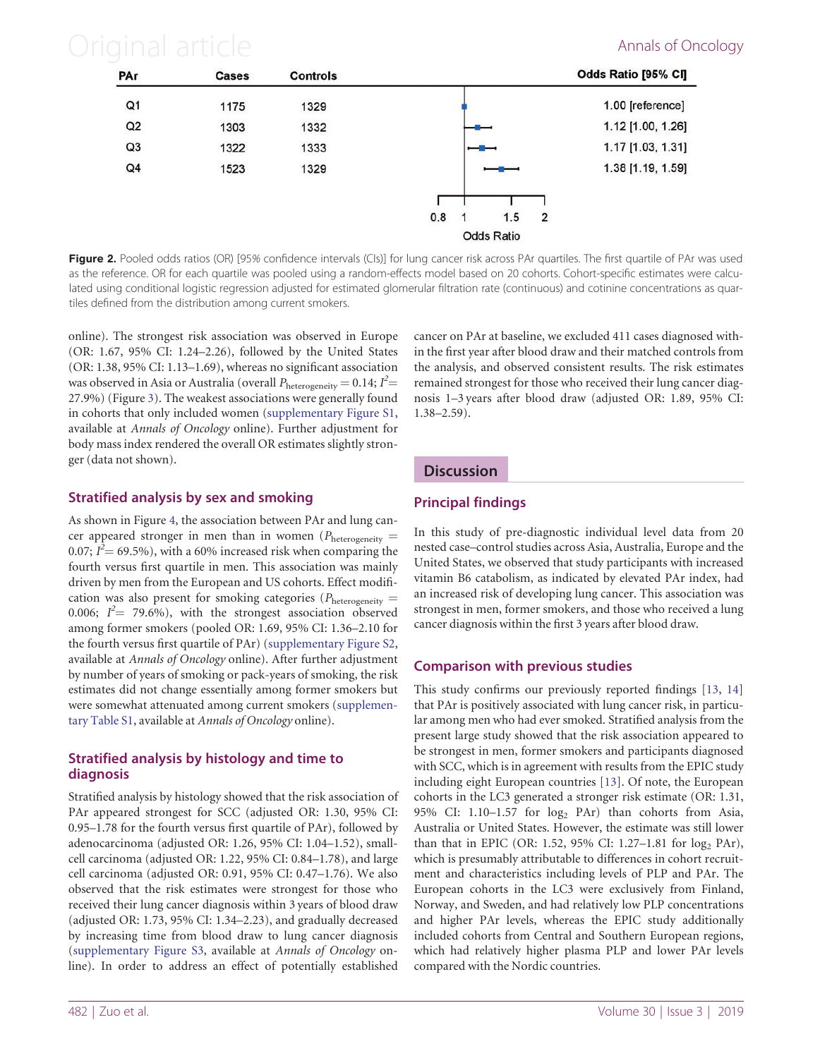# <span id="page-4-0"></span>Original article **Annals of Oncology**



Figure 2. Pooled odds ratios (OR) [95% confidence intervals (CIs)] for lung cancer risk across PAr quartiles. The first quartile of PAr was used as the reference. OR for each quartile was pooled using a random-effects model based on 20 cohorts. Cohort-specific estimates were calculated using conditional logistic regression adjusted for estimated glomerular filtration rate (continuous) and cotinine concentrations as quartiles defined from the distribution among current smokers.

online). The strongest risk association was observed in Europe (OR: 1.67, 95% CI: 1.24–2.26), followed by the United States (OR: 1.38, 95% CI: 1.13–1.69), whereas no significant association was observed in Asia or Australia (overall  $P_{\text{heterogeneity}} = 0.14; I^2 =$ 27.9%) (Figure [3\)](#page-5-0). The weakest associations were generally found in cohorts that only included women ([supplementary Figure S1](https://academic.oup.com/annonc/article-lookup/doi/10.1093/annonc/mdz002#supplementary-data), available at Annals of Oncology online). Further adjustment for body mass index rendered the overall OR estimates slightly stronger (data not shown).

# Stratified analysis by sex and smoking

As shown in Figure [4,](#page-6-0) the association between PAr and lung cancer appeared stronger in men than in women ( $P_{\text{heterogeneity}} =$ 0.07;  $I^{\bar{2}}$  = 69.5%), with a 60% increased risk when comparing the fourth versus first quartile in men. This association was mainly driven by men from the European and US cohorts. Effect modification was also present for smoking categories ( $P_{\text{heterogeneity}} =$ 0.006;  $I^2$  = 79.6%), with the strongest association observed among former smokers (pooled OR: 1.69, 95% CI: 1.36–2.10 for the fourth versus first quartile of PAr) [\(supplementary Figure S2](https://academic.oup.com/annonc/article-lookup/doi/10.1093/annonc/mdz002#supplementary-data), available at Annals of Oncology online). After further adjustment by number of years of smoking or pack-years of smoking, the risk estimates did not change essentially among former smokers but were somewhat attenuated among current smokers ([supplemen](https://academic.oup.com/annonc/article-lookup/doi/10.1093/annonc/mdz002#supplementary-data)[tary Table S1,](https://academic.oup.com/annonc/article-lookup/doi/10.1093/annonc/mdz002#supplementary-data) available at Annals of Oncology online).

## Stratified analysis by histology and time to diagnosis

Stratified analysis by histology showed that the risk association of PAr appeared strongest for SCC (adjusted OR: 1.30, 95% CI: 0.95–1.78 for the fourth versus first quartile of PAr), followed by adenocarcinoma (adjusted OR: 1.26, 95% CI: 1.04–1.52), smallcell carcinoma (adjusted OR: 1.22, 95% CI: 0.84–1.78), and large cell carcinoma (adjusted OR: 0.91, 95% CI: 0.47–1.76). We also observed that the risk estimates were strongest for those who received their lung cancer diagnosis within 3 years of blood draw (adjusted OR: 1.73, 95% CI: 1.34–2.23), and gradually decreased by increasing time from blood draw to lung cancer diagnosis ([supplementary Figure S3](https://academic.oup.com/annonc/article-lookup/doi/10.1093/annonc/mdz002#supplementary-data), available at Annals of Oncology online). In order to address an effect of potentially established

cancer on PAr at baseline, we excluded 411 cases diagnosed within the first year after blood draw and their matched controls from the analysis, and observed consistent results. The risk estimates remained strongest for those who received their lung cancer diagnosis 1–3 years after blood draw (adjusted OR: 1.89, 95% CI: 1.38–2.59).

# **Discussion**

# Principal findings

In this study of pre-diagnostic individual level data from 20 nested case–control studies across Asia, Australia, Europe and the United States, we observed that study participants with increased vitamin B6 catabolism, as indicated by elevated PAr index, had an increased risk of developing lung cancer. This association was strongest in men, former smokers, and those who received a lung cancer diagnosis within the first 3 years after blood draw.

# Comparison with previous studies

This study confirms our previously reported findings [[13,](#page-7-0) [14](#page-7-0)] that PAr is positively associated with lung cancer risk, in particular among men who had ever smoked. Stratified analysis from the present large study showed that the risk association appeared to be strongest in men, former smokers and participants diagnosed with SCC, which is in agreement with results from the EPIC study including eight European countries [[13\]](#page-7-0). Of note, the European cohorts in the LC3 generated a stronger risk estimate (OR: 1.31, 95% CI: 1.10–1.57 for  $log_2$  PAr) than cohorts from Asia, Australia or United States. However, the estimate was still lower than that in EPIC (OR: 1.52, 95% CI: 1.27–1.81 for  $log_2$  PAr), which is presumably attributable to differences in cohort recruitment and characteristics including levels of PLP and PAr. The European cohorts in the LC3 were exclusively from Finland, Norway, and Sweden, and had relatively low PLP concentrations and higher PAr levels, whereas the EPIC study additionally included cohorts from Central and Southern European regions, which had relatively higher plasma PLP and lower PAr levels compared with the Nordic countries.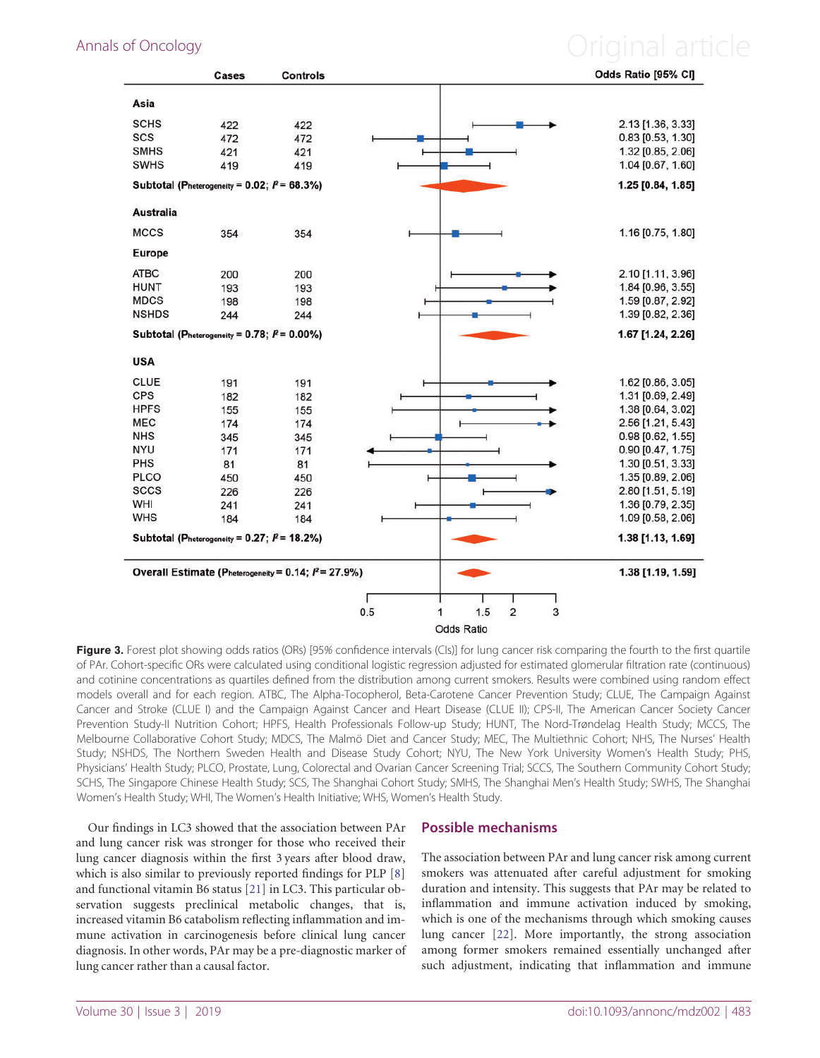# <span id="page-5-0"></span>Annals of Oncology **Annals of Oncology Annal article**

|                  | Cases                                             | <b>Controls</b>                                        |                                                 | Odds Ratio [95% CI] |
|------------------|---------------------------------------------------|--------------------------------------------------------|-------------------------------------------------|---------------------|
| Asia             |                                                   |                                                        |                                                 |                     |
| <b>SCHS</b>      | 422                                               | 422                                                    |                                                 | 2.13 [1.36, 3.33]   |
| <b>SCS</b>       | 472                                               | 472                                                    |                                                 | $0.83$ [0.53, 1.30] |
| <b>SMHS</b>      | 421                                               | 421                                                    |                                                 | 1.32 [0.85, 2.06]   |
| <b>SWHS</b>      | 419                                               | 419                                                    |                                                 | 1.04 [0.67, 1.60]   |
|                  | Subtotal (Pheterogeneity = $0.02;$ $P = 68.3\%$ ) |                                                        |                                                 | 1.25 [0.84, 1.85]   |
| <b>Australia</b> |                                                   |                                                        |                                                 |                     |
| <b>MCCS</b>      | 354                                               | 354                                                    |                                                 | 1.16 [0.75, 1.80]   |
| <b>Europe</b>    |                                                   |                                                        |                                                 |                     |
| <b>ATBC</b>      | 200                                               | 200                                                    |                                                 | 2.10 [1.11, 3.96]   |
| <b>HUNT</b>      | 193                                               | 193                                                    |                                                 | 1.84 [0.96, 3.55]   |
| <b>MDCS</b>      | 198                                               | 198                                                    |                                                 | 1.59 [0.87, 2.92]   |
| <b>NSHDS</b>     | 244                                               | 244                                                    |                                                 | 1.39 [0.82, 2.36]   |
|                  | Subtotal (Pheterogeneity = 0.78; $P = 0.00\%$ )   |                                                        |                                                 | 1.67 [1.24, 2.26]   |
| <b>USA</b>       |                                                   |                                                        |                                                 |                     |
| <b>CLUE</b>      | 191                                               | 191                                                    |                                                 | 1.62 [0.86, 3.05]   |
| <b>CPS</b>       | 182                                               | 182                                                    |                                                 | 1.31 [0.69, 2.49]   |
| <b>HPFS</b>      | 155                                               | 155                                                    |                                                 | 1.38 [0.64, 3.02]   |
| <b>MEC</b>       | 174                                               | 174                                                    |                                                 | 2.56 [1.21, 5.43]   |
| <b>NHS</b>       | 345                                               | 345                                                    |                                                 | 0.98 [0.62, 1.55]   |
| <b>NYU</b>       | 171                                               | 171                                                    |                                                 | 0.90 [0.47, 1.75]   |
| <b>PHS</b>       | 81                                                | 81                                                     |                                                 | 1.30 [0.51, 3.33]   |
| <b>PLCO</b>      | 450                                               | 450                                                    |                                                 | 1.35 [0.89, 2.06]   |
| <b>SCCS</b>      | 226                                               | 226                                                    |                                                 | 2.80 [1.51, 5.19]   |
| WHI              | 241                                               | 241                                                    |                                                 | 1.36 [0.79, 2.35]   |
| <b>WHS</b>       | 184                                               | 184                                                    |                                                 | 1.09 [0.58, 2.06]   |
|                  | Subtotal (Pheterogeneity = $0.27;$ $P = 18.2\%)$  |                                                        |                                                 | 1.38 [1.13, 1.69]   |
|                  |                                                   | Overall Estimate (Pheterogeneity = 0.14; $P = 27.9\%)$ |                                                 | 1.38 [1.19, 1.59]   |
|                  |                                                   |                                                        |                                                 |                     |
|                  |                                                   |                                                        | 0.5<br>$\overline{\mathbf{c}}$<br>1.5<br>3<br>1 |                     |
|                  |                                                   |                                                        | Odds Ratio                                      |                     |

Figure 3. Forest plot showing odds ratios (ORs) [95% confidence intervals (CIs)] for lung cancer risk comparing the fourth to the first quartile of PAr. Cohort-specific ORs were calculated using conditional logistic regression adjusted for estimated glomerular filtration rate (continuous) and cotinine concentrations as quartiles defined from the distribution among current smokers. Results were combined using random effect models overall and for each region. ATBC, The Alpha-Tocopherol, Beta-Carotene Cancer Prevention Study; CLUE, The Campaign Against Cancer and Stroke (CLUE I) and the Campaign Against Cancer and Heart Disease (CLUE II); CPS-II, The American Cancer Society Cancer Prevention Study-II Nutrition Cohort; HPFS, Health Professionals Follow-up Study; HUNT, The Nord-Trøndelag Health Study; MCCS, The Melbourne Collaborative Cohort Study; MDCS, The Malmö Diet and Cancer Study; MEC, The Multiethnic Cohort; NHS, The Nurses' Health Study; NSHDS, The Northern Sweden Health and Disease Study Cohort; NYU, The New York University Women's Health Study; PHS, Physicians' Health Study; PLCO, Prostate, Lung, Colorectal and Ovarian Cancer Screening Trial; SCCS, The Southern Community Cohort Study; SCHS, The Singapore Chinese Health Study; SCS, The Shanghai Cohort Study; SMHS, The Shanghai Men's Health Study; SWHS, The Shanghai Women's Health Study; WHI, The Women's Health Initiative; WHS, Women's Health Study.

Our findings in LC3 showed that the association between PAr and lung cancer risk was stronger for those who received their lung cancer diagnosis within the first 3 years after blood draw, which is also similar to previously reported findings for PLP [[8](#page-7-0)] and functional vitamin B6 status [\[21](#page-7-0)] in LC3. This particular observation suggests preclinical metabolic changes, that is, increased vitamin B6 catabolism reflecting inflammation and immune activation in carcinogenesis before clinical lung cancer diagnosis. In other words, PAr may be a pre-diagnostic marker of lung cancer rather than a causal factor.

### Possible mechanisms

The association between PAr and lung cancer risk among current smokers was attenuated after careful adjustment for smoking duration and intensity. This suggests that PAr may be related to inflammation and immune activation induced by smoking, which is one of the mechanisms through which smoking causes lung cancer [\[22](#page-7-0)]. More importantly, the strong association among former smokers remained essentially unchanged after such adjustment, indicating that inflammation and immune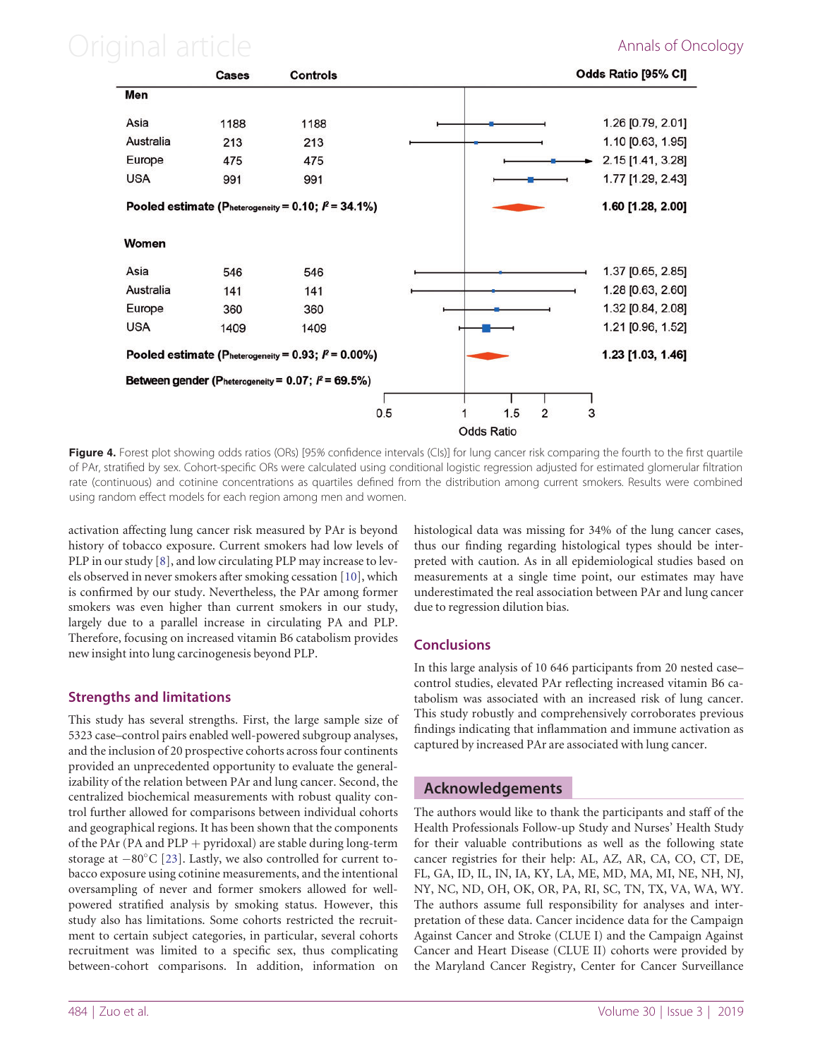# <span id="page-6-0"></span>Original article **Annals of Oncology**



Figure 4. Forest plot showing odds ratios (ORs) [95% confidence intervals (CIs)] for lung cancer risk comparing the fourth to the first quartile of PAr, stratified by sex. Cohort-specific ORs were calculated using conditional logistic regression adjusted for estimated glomerular filtration rate (continuous) and cotinine concentrations as quartiles defined from the distribution among current smokers. Results were combined using random effect models for each region among men and women.

activation affecting lung cancer risk measured by PAr is beyond history of tobacco exposure. Current smokers had low levels of PLP in our study [\[8\]](#page-7-0), and low circulating PLP may increase to levels observed in never smokers after smoking cessation [\[10\]](#page-7-0), which is confirmed by our study. Nevertheless, the PAr among former smokers was even higher than current smokers in our study, largely due to a parallel increase in circulating PA and PLP. Therefore, focusing on increased vitamin B6 catabolism provides new insight into lung carcinogenesis beyond PLP.

# Strengths and limitations

This study has several strengths. First, the large sample size of 5323 case–control pairs enabled well-powered subgroup analyses, and the inclusion of 20 prospective cohorts across four continents provided an unprecedented opportunity to evaluate the generalizability of the relation between PAr and lung cancer. Second, the centralized biochemical measurements with robust quality control further allowed for comparisons between individual cohorts and geographical regions. It has been shown that the components of the PAr (PA and PLP  $+$  pyridoxal) are stable during long-term storage at  $-80^{\circ}$ C [[23\]](#page-7-0). Lastly, we also controlled for current tobacco exposure using cotinine measurements, and the intentional oversampling of never and former smokers allowed for wellpowered stratified analysis by smoking status. However, this study also has limitations. Some cohorts restricted the recruitment to certain subject categories, in particular, several cohorts recruitment was limited to a specific sex, thus complicating between-cohort comparisons. In addition, information on histological data was missing for 34% of the lung cancer cases, thus our finding regarding histological types should be interpreted with caution. As in all epidemiological studies based on measurements at a single time point, our estimates may have underestimated the real association between PAr and lung cancer due to regression dilution bias.

# **Conclusions**

In this large analysis of 10 646 participants from 20 nested case– control studies, elevated PAr reflecting increased vitamin B6 catabolism was associated with an increased risk of lung cancer. This study robustly and comprehensively corroborates previous findings indicating that inflammation and immune activation as captured by increased PAr are associated with lung cancer.

# Acknowledgements

The authors would like to thank the participants and staff of the Health Professionals Follow-up Study and Nurses' Health Study for their valuable contributions as well as the following state cancer registries for their help: AL, AZ, AR, CA, CO, CT, DE, FL, GA, ID, IL, IN, IA, KY, LA, ME, MD, MA, MI, NE, NH, NJ, NY, NC, ND, OH, OK, OR, PA, RI, SC, TN, TX, VA, WA, WY. The authors assume full responsibility for analyses and interpretation of these data. Cancer incidence data for the Campaign Against Cancer and Stroke (CLUE I) and the Campaign Against Cancer and Heart Disease (CLUE II) cohorts were provided by the Maryland Cancer Registry, Center for Cancer Surveillance